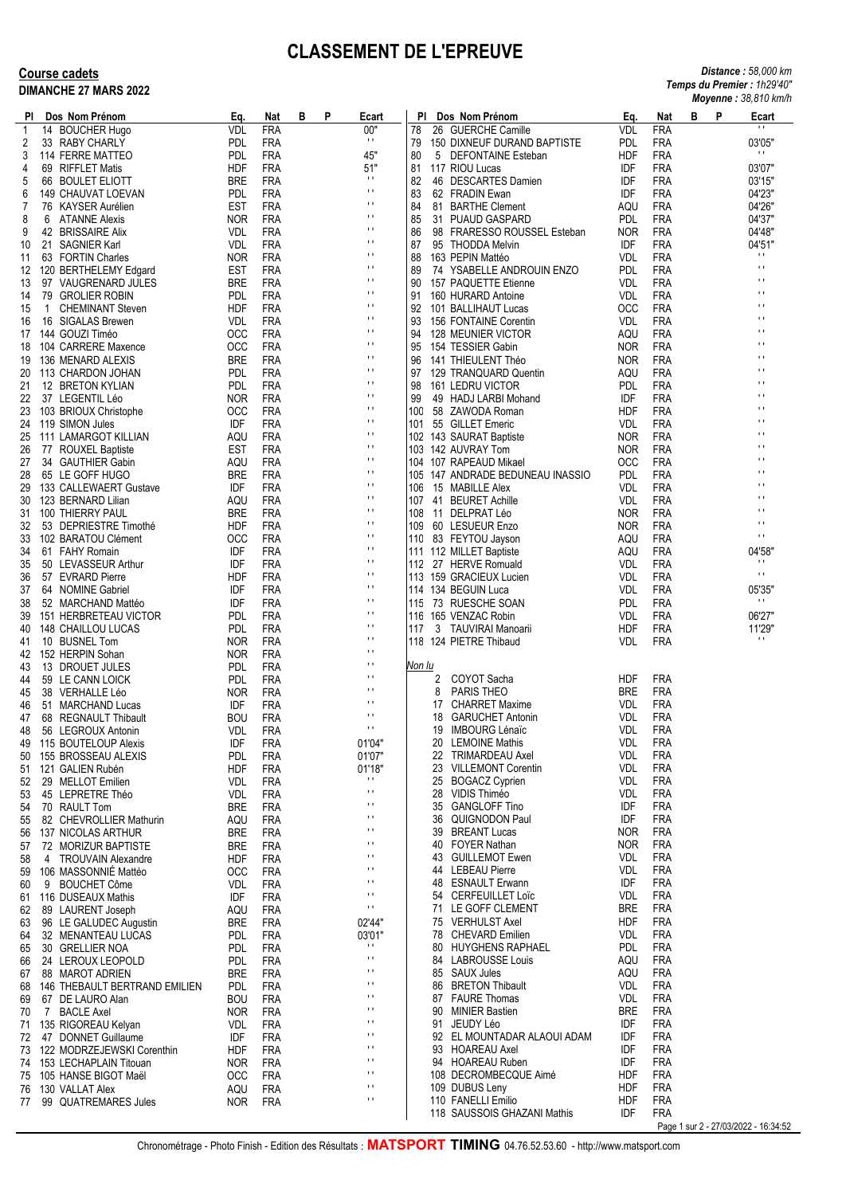## **CLASSEMENT DE L'EPREUVE**

## **Course cadets DIMANCHE 27 MARS 2022**

| <b>Distance: 58,000 km</b>  |
|-----------------------------|
| Temps du Premier : 1h29'40" |
| Moyenne: 38,810 km/h        |

| PI.      |                | Dos Nom Prénom                                       | Eq.                      | Nat                      | в | P | Ecart                            | PI.        |                            | Dos Nom Prénom                                 | Eq.                      | Nat                      | в<br>P                               | $1.00,0.10$ $1.000$<br>Ecart     |
|----------|----------------|------------------------------------------------------|--------------------------|--------------------------|---|---|----------------------------------|------------|----------------------------|------------------------------------------------|--------------------------|--------------------------|--------------------------------------|----------------------------------|
| 1        |                | 14 BOUCHER Hugo                                      | VDL                      | FRA                      |   |   | 00"                              | 78         |                            | 26 GUERCHE Camille                             | VDL                      | <b>FRA</b>               |                                      | $\blacksquare$                   |
| 2        |                | 33 RABY CHARLY                                       | <b>PDL</b>               | <b>FRA</b>               |   |   | $\pm$ 1                          | 79         |                            | 150 DIXNEUF DURAND BAPTISTE                    | <b>PDL</b>               | <b>FRA</b>               |                                      | 03'05"                           |
| 3        |                | 114 FERRE MATTEO                                     | <b>PDL</b>               | FRA                      |   |   | 45"                              | 80         |                            | 5 DEFONTAINE Esteban                           | HDF                      | <b>FRA</b>               |                                      | $\pm$ 1.                         |
| 4        |                | 69 RIFFLET Matis                                     | HDF                      | FRA                      |   |   | 51"<br>$\pm$                     | 81         |                            | 117 RIOU Lucas                                 | IDF                      | <b>FRA</b>               |                                      | 03'07"                           |
| 5        |                | 66 BOULET ELIOTT                                     | <b>BRE</b>               | <b>FRA</b>               |   |   | $\mathbf{r}$                     | 82         |                            | 46 DESCARTES Damien                            | IDF                      | <b>FRA</b>               |                                      | 03'15"                           |
| 6<br>7   |                | 149 CHAUVAT LOEVAN<br>76 KAYSER Aurélien             | <b>PDL</b><br><b>EST</b> | <b>FRA</b><br>FRA        |   |   | $\mathbf{L}$                     | 83<br>84   |                            | 62 FRADIN Ewan<br>81 BARTHE Clement            | IDF<br>AQU               | <b>FRA</b><br><b>FRA</b> |                                      | 04'23"<br>04'26"                 |
| 8        | 6              | ATANNE Alexis                                        | <b>NOR</b>               | <b>FRA</b>               |   |   | $\mathbf{L}$                     | 85         |                            | 31 PUAUD GASPARD                               | <b>PDL</b>               | <b>FRA</b>               |                                      | 04'37"                           |
| 9        |                | 42 BRISSAIRE Alix                                    | <b>VDL</b>               | FRA                      |   |   | $\mathbf{r}$ .                   | 86         |                            | 98 FRARESSO ROUSSEL Esteban                    | <b>NOR</b>               | <b>FRA</b>               |                                      | 04'48"                           |
| 10       |                | 21 SAGNIER Karl                                      | <b>VDL</b>               | FRA                      |   |   | $\mathbf{L}$                     | 87         |                            | 95 THODDA Melvin                               | IDF                      | <b>FRA</b>               |                                      | 04'51"                           |
| 11       |                | 63 FORTIN Charles                                    | <b>NOR</b>               | <b>FRA</b>               |   |   | $\mathbf{H}$                     | 88         |                            | 163 PEPIN Mattéo                               | <b>VDL</b>               | <b>FRA</b>               |                                      | $\mathbf{H}$                     |
| 12       |                | 120 BERTHELEMY Edgard                                | EST                      | FRA                      |   |   | $\mathbf{r}$<br>$\mathbf{H}$     | 89         |                            | 74 YSABELLE ANDROUIN ENZO                      | <b>PDL</b>               | <b>FRA</b>               |                                      | $\mathbf{H}$<br>$\mathbf{H}$     |
| 13       |                | 97 VAUGRENARD JULES<br>79 GROLIER ROBIN              | <b>BRE</b><br><b>PDL</b> | <b>FRA</b><br>FRA        |   |   | $\mathbf{r}$                     | 90<br>91   |                            | 157 PAQUETTE Etienne<br>160 HURARD Antoine     | <b>VDL</b><br><b>VDL</b> | <b>FRA</b><br><b>FRA</b> |                                      | $\blacksquare$                   |
| 14<br>15 |                | 1 CHEMINANT Steven                                   | HDF                      | <b>FRA</b>               |   |   | $\mathbf{H}$                     | 92         |                            | 101 BALLIHAUT Lucas                            | <b>OCC</b>               | <b>FRA</b>               |                                      | $\blacksquare$                   |
| 16       |                | 16 SIGALAS Brewen                                    | <b>VDL</b>               | FRA                      |   |   | $\mathbf{r}$                     | 93         |                            | 156 FONTAINE Corentin                          | <b>VDL</b>               | <b>FRA</b>               |                                      | $\mathbf{L}$                     |
| 17       |                | 144 GOUZI Timéo                                      | <b>OCC</b>               | FRA                      |   |   | $\mathbf{L}$                     | 94         |                            | 128 MEUNIER VICTOR                             | AQU                      | <b>FRA</b>               |                                      | $\blacksquare$                   |
| 18       |                | 104 CARRERE Maxence                                  | <b>OCC</b>               | <b>FRA</b>               |   |   | $\mathbf{r}$                     | 95         |                            | 154 TESSIER Gabin                              | <b>NOR</b>               | <b>FRA</b>               |                                      | $\blacksquare$                   |
| 19       |                | 136 MENARD ALEXIS                                    | <b>BRE</b>               | <b>FRA</b>               |   |   | $\mathbf{L}$<br>$\mathbf{L}$     | 96         |                            | 141 THIEULENT Théo                             | <b>NOR</b>               | <b>FRA</b>               |                                      | $\blacksquare$<br>$\blacksquare$ |
| 20       |                | 113 CHARDON JOHAN                                    | <b>PDL</b>               | FRA                      |   |   | $\mathbf{H}$                     | 97         |                            | 129 TRANQUARD Quentin                          | AQU                      | <b>FRA</b>               |                                      | $\blacksquare$                   |
| 21<br>22 |                | 12 BRETON KYLIAN<br>37 LEGENTIL Léo                  | <b>PDL</b><br><b>NOR</b> | FRA<br><b>FRA</b>        |   |   | $\mathbf{L}$                     | 98<br>99   |                            | 161 LEDRU VICTOR<br>49 HADJ LARBI Mohand       | <b>PDL</b><br>IDF        | <b>FRA</b><br><b>FRA</b> |                                      | $\blacksquare$                   |
| 23       |                | 103 BRIOUX Christophe                                | <b>OCC</b>               | <b>FRA</b>               |   |   | $\mathbf{L}$                     | 100        |                            | 58 ZAWODA Roman                                | HDF                      | <b>FRA</b>               |                                      | $\blacksquare$                   |
| 24       |                | 119 SIMON Jules                                      | IDF                      | FRA                      |   |   | $\mathbf{r}$                     | 101        |                            | 55 GILLET Emeric                               | <b>VDL</b>               | <b>FRA</b>               |                                      | $\blacksquare$                   |
| 25       |                | 111 LAMARGOT KILLIAN                                 | AQU                      | FRA                      |   |   | $\mathbf{L}$                     |            |                            | 102 143 SAURAT Baptiste                        | <b>NOR</b>               | <b>FRA</b>               |                                      | $\blacksquare$                   |
| 26       |                | 77 ROUXEL Baptiste                                   | EST                      | FRA                      |   |   | $\mathbf{r}$                     |            |                            | 103 142 AUVRAY Tom                             | <b>NOR</b>               | <b>FRA</b>               |                                      | $\blacksquare$                   |
| 27       |                | 34 GAUTHIER Gabin                                    | AQU                      | FRA                      |   |   | $\mathbf{L}$                     |            |                            | 104 107 RAPEAUD Mikael                         | <b>OCC</b>               | <b>FRA</b>               |                                      | $\blacksquare$<br>$\blacksquare$ |
| 28       |                | 65 LE GOFF HUGO                                      | <b>BRE</b>               | <b>FRA</b>               |   |   | $\mathbf{r}$<br>$\mathbf{r}$ .   | 105        |                            | 147 ANDRADE BEDUNEAU INASSIO                   | <b>PDL</b>               | <b>FRA</b>               |                                      | $\blacksquare$                   |
| 29<br>30 |                | 133 CALLEWAERT Gustave<br>123 BERNARD Lilian         | IDF<br>AQU               | FRA<br><b>FRA</b>        |   |   | $\mathbf{L}$                     | 106<br>107 |                            | 15 MABILLE Alex<br>41 BEURET Achille           | <b>VDL</b><br><b>VDL</b> | <b>FRA</b><br><b>FRA</b> |                                      | $\blacksquare$                   |
| 31       |                | 100 THIERRY PAUL                                     | <b>BRE</b>               | <b>FRA</b>               |   |   | $\mathbf{r}$ .                   | 108        |                            | 11 DELPRAT Léo                                 | <b>NOR</b>               | <b>FRA</b>               |                                      | $\mathbf{L}$                     |
| 32       |                | 53 DEPRIESTRE Timothé                                | HDF                      | FRA                      |   |   | $\mathbf{L}$                     | 109        |                            | 60 LESUEUR Enzo                                | <b>NOR</b>               | <b>FRA</b>               |                                      | $\mathbf{H}$                     |
| 33       |                | 102 BARATOU Clément                                  | <b>OCC</b>               | <b>FRA</b>               |   |   | $\mathbf{r}$ .                   |            |                            | 110 83 FEYTOU Jayson                           | AQU                      | <b>FRA</b>               |                                      | $\mathbf{H}$                     |
| 34       |                | 61 FAHY Romain                                       | IDF                      | FRA                      |   |   | $\mathbf{L}$                     |            |                            | 111 112 MILLET Baptiste                        | AQU                      | <b>FRA</b>               |                                      | 04'58"                           |
| 35       |                | 50 LEVASSEUR Arthur                                  | IDF                      | FRA                      |   |   | $\mathbf{r}$ .<br>$\mathbf{H}$   |            |                            | 112 27 HERVE Romuald                           | <b>VDL</b>               | <b>FRA</b>               |                                      | $\mathbf{H}$<br>$\mathbf{H}$     |
| 36       |                | 57 EVRARD Pierre                                     | HDF                      | FRA                      |   |   | $\mathbf{r}$ .                   |            |                            | 113 159 GRACIEUX Lucien                        | <b>VDL</b>               | <b>FRA</b>               |                                      |                                  |
| 37<br>38 |                | 64 NOMINE Gabriel<br>52 MARCHAND Mattéo              | IDF<br>IDF               | FRA<br><b>FRA</b>        |   |   | $\mathbf{L}$                     | 115        |                            | 114 134 BEGUIN Luca<br>73 RUESCHE SOAN         | <b>VDL</b><br><b>PDL</b> | <b>FRA</b><br><b>FRA</b> |                                      | 05'35"<br>$\mathbf{H}$           |
| 39       |                | 151 HERBRETEAU VICTOR                                | <b>PDL</b>               | <b>FRA</b>               |   |   | $\mathbf{L}$                     |            |                            | 116 165 VENZAC Robin                           | <b>VDL</b>               | <b>FRA</b>               |                                      | 06'27"                           |
| 40       |                | 148 CHAILLOU LUCAS                                   | <b>PDL</b>               | <b>FRA</b>               |   |   | $\mathbf{L}$                     | 117        |                            | 3 TAUVIRAI Manoarii                            | HDF                      | <b>FRA</b>               |                                      | 11'29"                           |
| 41       |                | 10 BUSNEL Tom                                        | <b>NOR</b>               | <b>FRA</b>               |   |   | $\mathbf{L}$                     |            |                            | 118 124 PIETRE Thibaud                         | <b>VDL</b>               | <b>FRA</b>               |                                      | $\mathbf{H}$                     |
| 42       |                | 152 HERPIN Sohan                                     | <b>NOR</b>               | <b>FRA</b>               |   |   | $\mathbf{r}$ .                   |            |                            |                                                |                          |                          |                                      |                                  |
| 43       |                | 13 DROUET JULES                                      | <b>PDL</b>               | <b>FRA</b>               |   |   | $\mathbf{r}$ .<br>$\mathbf{L}$   | Non lu     |                            |                                                |                          | <b>FRA</b>               |                                      |                                  |
| 44<br>45 |                | 59 LE CANN LOICK<br>38 VERHALLE Léo                  | <b>PDL</b><br><b>NOR</b> | <b>FRA</b><br><b>FRA</b> |   |   | $\mathbf{L}$                     |            | $\mathbf{2}^{\prime}$<br>8 | COYOT Sacha<br>PARIS THEO                      | HDF<br><b>BRE</b>        | <b>FRA</b>               |                                      |                                  |
| 46       |                | 51 MARCHAND Lucas                                    | IDF                      | FRA                      |   |   | $\blacksquare$                   |            |                            | 17 CHARRET Maxime                              | <b>VDL</b>               | <b>FRA</b>               |                                      |                                  |
| 47       |                | 68 REGNAULT Thibault                                 | <b>BOU</b>               | <b>FRA</b>               |   |   | $\mathbf{r}$ .                   |            | 18                         | <b>GARUCHET Antonin</b>                        | <b>VDL</b>               | <b>FRA</b>               |                                      |                                  |
| 48       |                | 56 LEGROUX Antonin                                   | <b>VDL</b>               | <b>FRA</b>               |   |   | $\mathbf{r}$ .                   |            | 19                         | IMBOURG Lénaïc                                 | <b>VDL</b>               | <b>FRA</b>               |                                      |                                  |
| 49       |                | 115 BOUTELOUP Alexis                                 | IDF                      | FRA                      |   |   | 01'04"                           |            | 20                         | <b>LEMOINE Mathis</b>                          | <b>VDL</b>               | FRA                      |                                      |                                  |
| 50       |                | 155 BROSSEAU ALEXIS                                  | <b>PDL</b>               | <b>FRA</b>               |   |   | 01'07"                           |            |                            | 22 TRIMARDEAU Axel                             | VDL                      | <b>FRA</b><br><b>FRA</b> |                                      |                                  |
| 51<br>52 |                | 121 GALIEN Rubén<br>29 MELLOT Emilien                | HDF<br><b>VDL</b>        | <b>FRA</b><br><b>FRA</b> |   |   | 01'18"<br>$\mathbf{r}$           |            |                            | 23 VILLEMONT Corentin<br>25 BOGACZ Cyprien     | <b>VDL</b><br><b>VDL</b> | <b>FRA</b>               |                                      |                                  |
| 53       |                | 45 LEPRETRE Théo                                     | VDL                      | <b>FRA</b>               |   |   | $\mathbf{r}$ .                   |            |                            | 28 VIDIS Thiméo                                | <b>VDL</b>               | <b>FRA</b>               |                                      |                                  |
| 54       |                | 70 RAULT Tom                                         | BRE                      | <b>FRA</b>               |   |   | $\mathbf{L}$                     |            | 35                         | <b>GANGLOFF Tino</b>                           | IDF                      | <b>FRA</b>               |                                      |                                  |
| 55       |                | 82 CHEVROLLIER Mathurin                              | AQU                      | <b>FRA</b>               |   |   | $\mathbf{L}$                     |            | 36                         | <b>QUIGNODON Paul</b>                          | IDF                      | <b>FRA</b>               |                                      |                                  |
| 56       |                | 137 NICOLAS ARTHUR                                   | BRE                      | <b>FRA</b>               |   |   | $\mathbf{r}$ .<br>$\mathbf{r}$ . |            |                            | 39 BREANT Lucas                                | NOR.                     | <b>FRA</b>               |                                      |                                  |
| 57       |                | 72 MORIZUR BAPTISTE                                  | <b>BRE</b>               | <b>FRA</b>               |   |   | $\mathbf{r}$ .                   |            |                            | 40 FOYER Nathan<br>43 GUILLEMOT Ewen           | NOR.<br><b>VDL</b>       | <b>FRA</b><br><b>FRA</b> |                                      |                                  |
| 58<br>59 |                | 4 TROUVAIN Alexandre<br>106 MASSONNIE Mattéo         | HDF<br><b>OCC</b>        | <b>FRA</b><br><b>FRA</b> |   |   | $\mathbf{r}$ .                   |            |                            | 44 LEBEAU Pierre                               | <b>VDL</b>               | <b>FRA</b>               |                                      |                                  |
| 60       |                | 9 BOUCHET Côme                                       | <b>VDL</b>               | <b>FRA</b>               |   |   | $\mathbf{r}$ .                   |            |                            | 48 ESNAULT Erwann                              | IDF                      | <b>FRA</b>               |                                      |                                  |
| 61       |                | 116 DUSEAUX Mathis                                   | IDF                      | FRA                      |   |   | $\mathbf{r}$ .                   |            |                            | 54 CERFEUILLET Loïc                            | <b>VDL</b>               | <b>FRA</b>               |                                      |                                  |
| 62       |                | 89 LAURENT Joseph                                    | AQU                      | <b>FRA</b>               |   |   | $\mathbf{L}$                     |            |                            | 71 LE GOFF CLEMENT                             | <b>BRE</b>               | <b>FRA</b>               |                                      |                                  |
| 63       |                | 96 LE GALUDEC Augustin                               | BRE                      | <b>FRA</b>               |   |   | 02'44"                           |            |                            | 75 VERHULST Axel                               | <b>HDF</b>               | <b>FRA</b>               |                                      |                                  |
| 64       |                | 32 MENANTEAU LUCAS                                   | <b>PDL</b>               | <b>FRA</b>               |   |   | 03'01"<br>$\blacksquare$         |            | 78<br>80                   | <b>CHEVARD Emilien</b>                         | <b>VDL</b><br><b>PDL</b> | <b>FRA</b><br><b>FRA</b> |                                      |                                  |
| 65<br>66 |                | 30 GRELLIER NOA<br>24 LEROUX LEOPOLD                 | <b>PDL</b><br><b>PDL</b> | <b>FRA</b><br><b>FRA</b> |   |   | $\mathbf{r}$ .                   |            |                            | HUYGHENS RAPHAEL<br>84 LABROUSSE Louis         | AQU                      | <b>FRA</b>               |                                      |                                  |
| 67       |                | 88 MAROT ADRIEN                                      | BRE                      | <b>FRA</b>               |   |   | $\mathbf{L}$                     |            |                            | 85 SAUX Jules                                  | AQU                      | <b>FRA</b>               |                                      |                                  |
| 68       |                | 146 THEBAULT BERTRAND EMILIEN                        | <b>PDL</b>               | <b>FRA</b>               |   |   | $\mathbf{r}$ .                   |            |                            | 86 BRETON Thibault                             | <b>VDL</b>               | <b>FRA</b>               |                                      |                                  |
| 69       |                | 67 DE LAURO Alan                                     | BOU                      | <b>FRA</b>               |   |   | $\mathbf{r}$ .                   |            |                            | 87 FAURE Thomas                                | <b>VDL</b>               | <b>FRA</b>               |                                      |                                  |
| 70       | $7\phantom{0}$ | <b>BACLE Axel</b>                                    | <b>NOR</b>               | <b>FRA</b>               |   |   | $\mathbf{L}$                     |            | 90                         | <b>MINIER Bastien</b>                          | <b>BRE</b>               | <b>FRA</b>               |                                      |                                  |
|          |                | 71 135 RIGOREAU Kelyan                               | <b>VDL</b>               | <b>FRA</b>               |   |   | $\mathbf{r}$ .<br>$\mathbf{r}$ . |            |                            | 91 JEUDY Léo                                   | IDF                      | <b>FRA</b>               |                                      |                                  |
| 72       |                | 47 DONNET Guillaume<br>73 122 MODRZEJEWSKI Corenthin | IDF<br>HDF               | <b>FRA</b><br><b>FRA</b> |   |   | $\mathbf{r}$ .                   |            |                            | 92 EL MOUNTADAR ALAOUI ADAM<br>93 HOAREAU Axel | IDF<br>IDF               | <b>FRA</b><br><b>FRA</b> |                                      |                                  |
| 74       |                | 153 LECHAPLAIN Titouan                               | NOR.                     | <b>FRA</b>               |   |   | $\mathbf{r}$ .                   |            |                            | 94 HOAREAU Ruben                               | IDF                      | <b>FRA</b>               |                                      |                                  |
|          |                | 75 105 HANSE BIGOT Maël                              | <b>OCC</b>               | <b>FRA</b>               |   |   | $\mathbf{r}$ .                   |            |                            | 108 DECROMBECQUE Aimé                          | <b>HDF</b>               | <b>FRA</b>               |                                      |                                  |
| 76       |                | 130 VALLAT Alex                                      | AQU                      | <b>FRA</b>               |   |   | $\blacksquare$                   |            |                            | 109 DUBUS Leny                                 | <b>HDF</b>               | <b>FRA</b>               |                                      |                                  |
| 77       |                | 99 QUATREMARES Jules                                 | NOR.                     | <b>FRA</b>               |   |   | $\mathbf{r}$ .                   |            |                            | 110 FANELLI Emilio                             | <b>HDF</b>               | <b>FRA</b>               |                                      |                                  |
|          |                |                                                      |                          |                          |   |   |                                  |            |                            | 118 SAUSSOIS GHAZANI Mathis                    | IDF                      | <b>FRA</b>               | Page 1 sur 2 - 27/03/2022 - 16:34:52 |                                  |
|          |                |                                                      |                          |                          |   |   |                                  |            |                            |                                                |                          |                          |                                      |                                  |